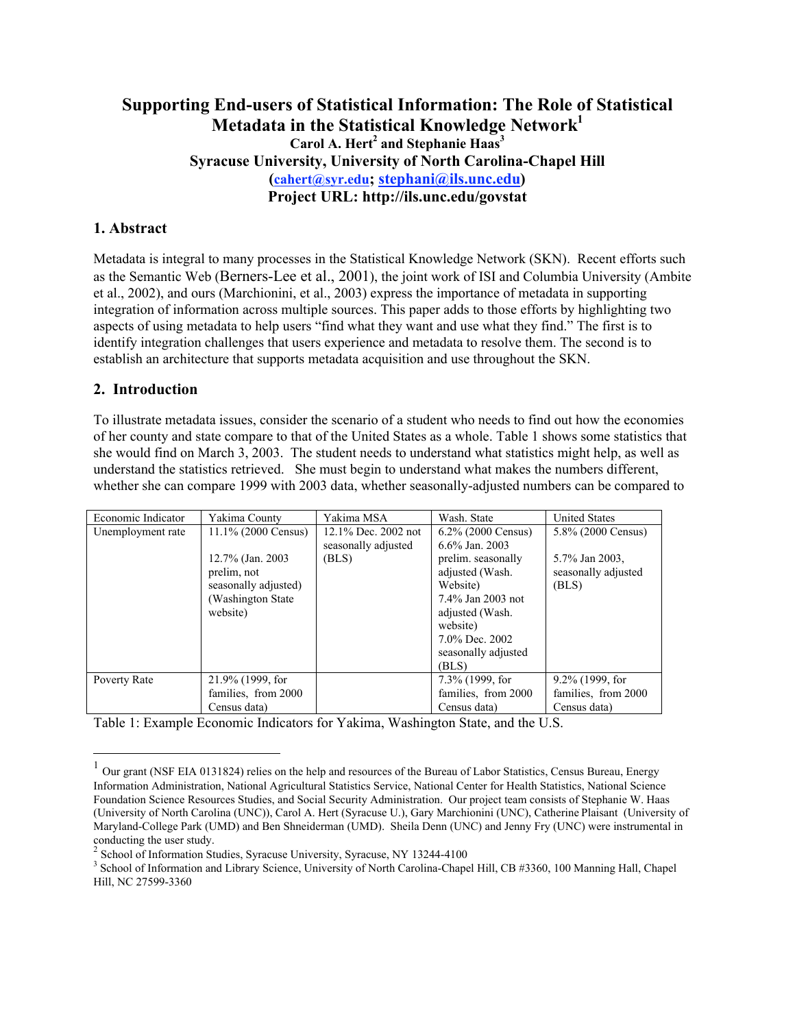# **Supporting End-users of Statistical Information: The Role of Statistical Metadata in the Statistical Knowledge Network1** Carol A. Hert<sup>2</sup> and Stephanie Haas<sup>3</sup> **Syracuse University, University of North Carolina-Chapel Hill (cahert@syr.edu; stephani@ils.unc.edu) Project URL: http://ils.unc.edu/govstat**

### **1. Abstract**

Metadata is integral to many processes in the Statistical Knowledge Network (SKN). Recent efforts such as the Semantic Web (Berners-Lee et al., 2001), the joint work of ISI and Columbia University (Ambite et al., 2002), and ours (Marchionini, et al., 2003) express the importance of metadata in supporting integration of information across multiple sources. This paper adds to those efforts by highlighting two aspects of using metadata to help users "find what they want and use what they find." The first is to identify integration challenges that users experience and metadata to resolve them. The second is to establish an architecture that supports metadata acquisition and use throughout the SKN.

#### **2. Introduction**

To illustrate metadata issues, consider the scenario of a student who needs to find out how the economies of her county and state compare to that of the United States as a whole. Table 1 shows some statistics that she would find on March 3, 2003. The student needs to understand what statistics might help, as well as understand the statistics retrieved. She must begin to understand what makes the numbers different, whether she can compare 1999 with 2003 data, whether seasonally-adjusted numbers can be compared to

| Economic Indicator | Yakima County          | Yakima MSA          | Wash, State           | <b>United States</b> |
|--------------------|------------------------|---------------------|-----------------------|----------------------|
| Unemployment rate  | $11.1\%$ (2000 Census) | 12.1% Dec. 2002 not | $6.2\%$ (2000 Census) | 5.8% (2000 Census)   |
|                    |                        | seasonally adjusted | $6.6\%$ Jan. 2003     |                      |
|                    | 12.7% (Jan. 2003)      | (BLS)               | prelim. seasonally    | 5.7% Jan 2003.       |
|                    | prelim, not            |                     | adjusted (Wash.       | seasonally adjusted  |
|                    | seasonally adjusted)   |                     | Website)              | (BLS)                |
|                    | (Washington State)     |                     | 7.4% Jan 2003 not     |                      |
|                    | website)               |                     | adjusted (Wash.       |                      |
|                    |                        |                     | website)              |                      |
|                    |                        |                     | 7.0% Dec. 2002        |                      |
|                    |                        |                     | seasonally adjusted   |                      |
|                    |                        |                     | (BLS)                 |                      |
| Poverty Rate       | 21.9% (1999, for       |                     | 7.3% (1999, for       | $9.2\%$ (1999, for   |
|                    | families, from 2000    |                     | families, from 2000   | families, from 2000  |
|                    | Census data)           |                     | Census data)          | Census data)         |

Table 1: Example Economic Indicators for Yakima, Washington State, and the U.S.

 $1$  Our grant (NSF EIA 0131824) relies on the help and resources of the Bureau of Labor Statistics, Census Bureau, Energy Information Administration, National Agricultural Statistics Service, National Center for Health Statistics, National Science Foundation Science Resources Studies, and Social Security Administration. Our project team consists of Stephanie W. Haas (University of North Carolina (UNC)), Carol A. Hert (Syracuse U.), Gary Marchionini (UNC), Catherine Plaisant (University of Maryland-College Park (UMD) and Ben Shneiderman (UMD). Sheila Denn (UNC) and Jenny Fry (UNC) were instrumental in conducting the user study.

<sup>&</sup>lt;sup>2</sup> School of Information Studies, Syracuse University, Syracuse, NY 13244-4100

<sup>&</sup>lt;sup>3</sup> School of Information and Library Science, University of North Carolina-Chapel Hill, CB #3360, 100 Manning Hall, Chapel Hill, NC 27599-3360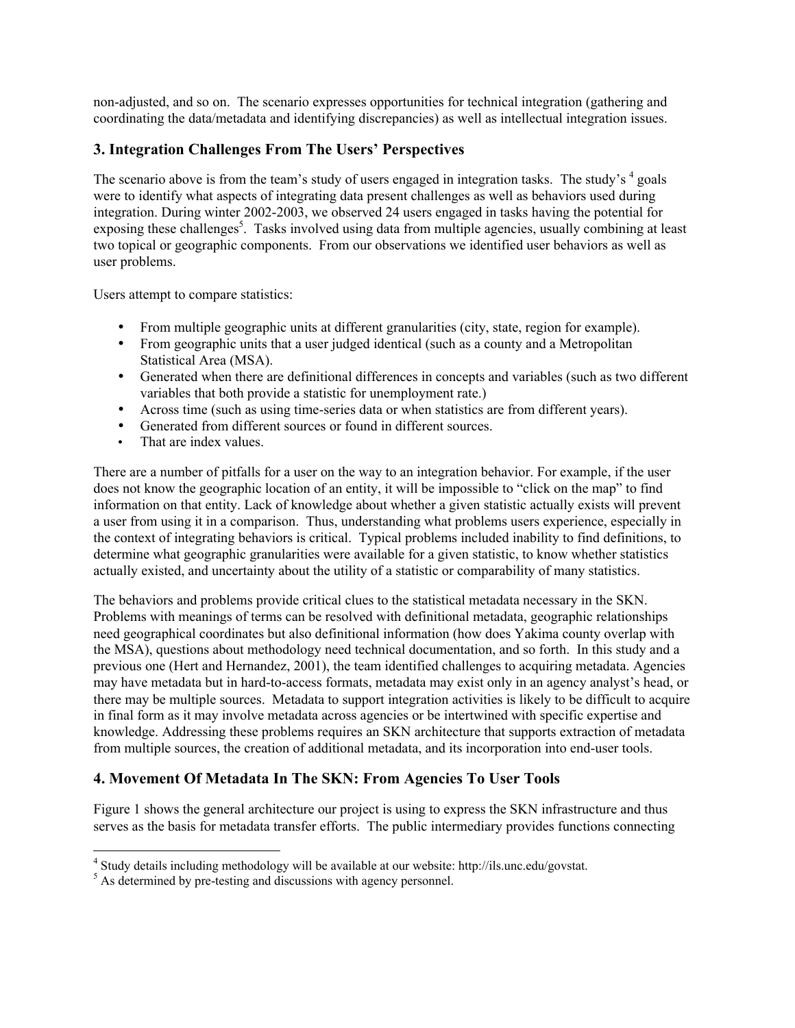non-adjusted, and so on. The scenario expresses opportunities for technical integration (gathering and coordinating the data/metadata and identifying discrepancies) as well as intellectual integration issues.

# **3. Integration Challenges From The Users' Perspectives**

The scenario above is from the team's study of users engaged in integration tasks. The study's <sup>4</sup> goals were to identify what aspects of integrating data present challenges as well as behaviors used during integration. During winter 2002-2003, we observed 24 users engaged in tasks having the potential for exposing these challenges<sup>5</sup>. Tasks involved using data from multiple agencies, usually combining at least two topical or geographic components. From our observations we identified user behaviors as well as user problems.

Users attempt to compare statistics:

- From multiple geographic units at different granularities (city, state, region for example).
- From geographic units that a user judged identical (such as a county and a Metropolitan Statistical Area (MSA).
- Generated when there are definitional differences in concepts and variables (such as two different variables that both provide a statistic for unemployment rate.)
- Across time (such as using time-series data or when statistics are from different years).
- Generated from different sources or found in different sources.<br>• That are index values
- That are index values.

There are a number of pitfalls for a user on the way to an integration behavior. For example, if the user does not know the geographic location of an entity, it will be impossible to "click on the map" to find information on that entity. Lack of knowledge about whether a given statistic actually exists will prevent a user from using it in a comparison. Thus, understanding what problems users experience, especially in the context of integrating behaviors is critical. Typical problems included inability to find definitions, to determine what geographic granularities were available for a given statistic, to know whether statistics actually existed, and uncertainty about the utility of a statistic or comparability of many statistics.

The behaviors and problems provide critical clues to the statistical metadata necessary in the SKN. Problems with meanings of terms can be resolved with definitional metadata, geographic relationships need geographical coordinates but also definitional information (how does Yakima county overlap with the MSA), questions about methodology need technical documentation, and so forth. In this study and a previous one (Hert and Hernandez, 2001), the team identified challenges to acquiring metadata. Agencies may have metadata but in hard-to-access formats, metadata may exist only in an agency analyst's head, or there may be multiple sources. Metadata to support integration activities is likely to be difficult to acquire in final form as it may involve metadata across agencies or be intertwined with specific expertise and knowledge. Addressing these problems requires an SKN architecture that supports extraction of metadata from multiple sources, the creation of additional metadata, and its incorporation into end-user tools.

### **4. Movement Of Metadata In The SKN: From Agencies To User Tools**

Figure 1 shows the general architecture our project is using to express the SKN infrastructure and thus serves as the basis for metadata transfer efforts. The public intermediary provides functions connecting

 $\frac{1}{4}$ Study details including methodology will be available at our website: http://ils.unc.edu/govstat.

<sup>&</sup>lt;sup>5</sup> As determined by pre-testing and discussions with agency personnel.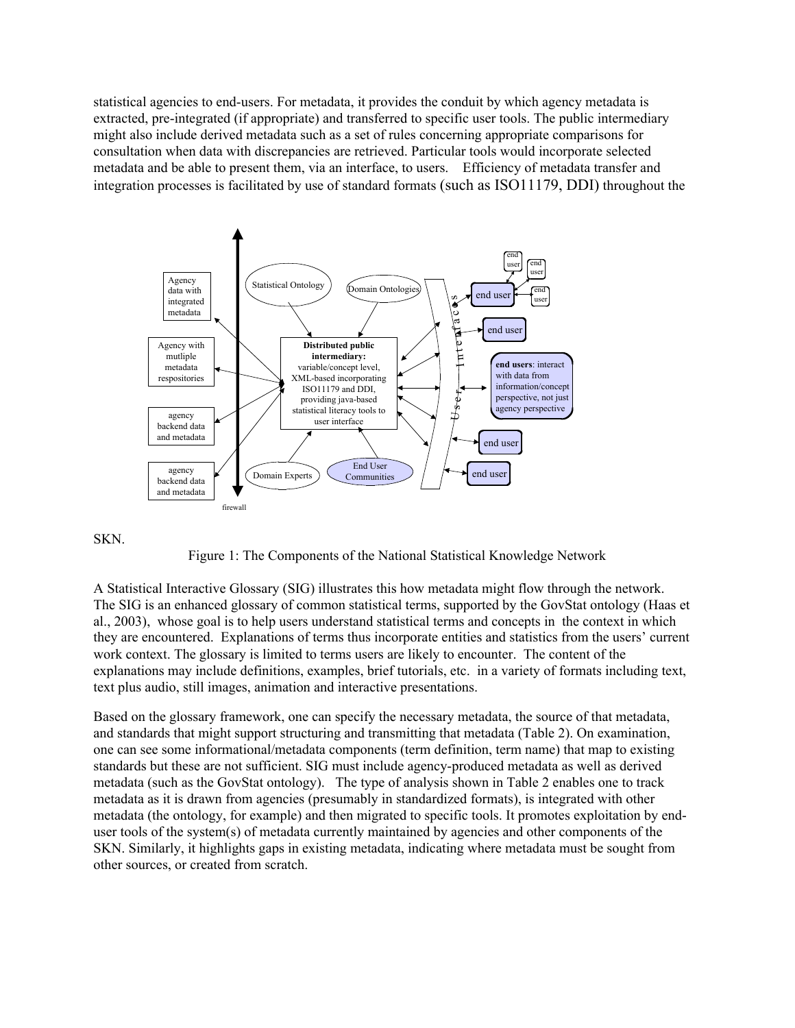statistical agencies to end-users. For metadata, it provides the conduit by which agency metadata is extracted, pre-integrated (if appropriate) and transferred to specific user tools. The public intermediary might also include derived metadata such as a set of rules concerning appropriate comparisons for consultation when data with discrepancies are retrieved. Particular tools would incorporate selected metadata and be able to present them, via an interface, to users. Efficiency of metadata transfer and integration processes is facilitated by use of standard formats (such as ISO11179, DDI) throughout the



#### SKN.

Figure 1: The Components of the National Statistical Knowledge Network

A Statistical Interactive Glossary (SIG) illustrates this how metadata might flow through the network. The SIG is an enhanced glossary of common statistical terms, supported by the GovStat ontology (Haas et al., 2003), whose goal is to help users understand statistical terms and concepts in the context in which they are encountered. Explanations of terms thus incorporate entities and statistics from the users' current work context. The glossary is limited to terms users are likely to encounter. The content of the explanations may include definitions, examples, brief tutorials, etc. in a variety of formats including text, text plus audio, still images, animation and interactive presentations.

Based on the glossary framework, one can specify the necessary metadata, the source of that metadata, and standards that might support structuring and transmitting that metadata (Table 2). On examination, one can see some informational/metadata components (term definition, term name) that map to existing standards but these are not sufficient. SIG must include agency-produced metadata as well as derived metadata (such as the GovStat ontology). The type of analysis shown in Table 2 enables one to track metadata as it is drawn from agencies (presumably in standardized formats), is integrated with other metadata (the ontology, for example) and then migrated to specific tools. It promotes exploitation by enduser tools of the system(s) of metadata currently maintained by agencies and other components of the SKN. Similarly, it highlights gaps in existing metadata, indicating where metadata must be sought from other sources, or created from scratch.